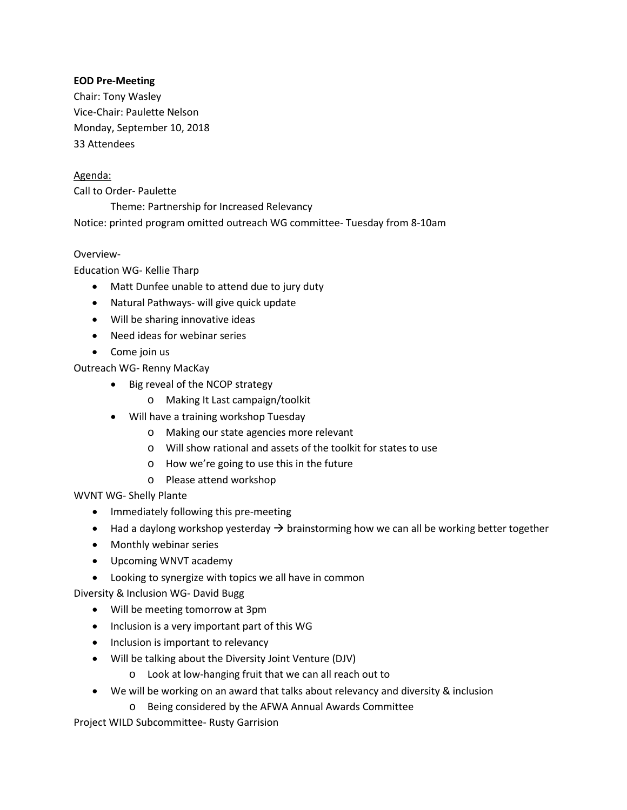### **EOD Pre-Meeting**

Chair: Tony Wasley Vice-Chair: Paulette Nelson Monday, September 10, 2018 33 Attendees

## Agenda:

Call to Order- Paulette

Theme: Partnership for Increased Relevancy

Notice: printed program omitted outreach WG committee- Tuesday from 8-10am

#### Overview-

Education WG- Kellie Tharp

- Matt Dunfee unable to attend due to jury duty
- Natural Pathways- will give quick update
- Will be sharing innovative ideas
- Need ideas for webinar series
- Come join us

Outreach WG- Renny MacKay

- Big reveal of the NCOP strategy
	- o Making It Last campaign/toolkit
- Will have a training workshop Tuesday
	- o Making our state agencies more relevant
	- o Will show rational and assets of the toolkit for states to use
	- o How we're going to use this in the future
	- o Please attend workshop

WVNT WG- Shelly Plante

- Immediately following this pre-meeting
- Had a daylong workshop yesterday  $\rightarrow$  brainstorming how we can all be working better together
- Monthly webinar series
- Upcoming WNVT academy
- Looking to synergize with topics we all have in common

Diversity & Inclusion WG- David Bugg

- Will be meeting tomorrow at 3pm
- Inclusion is a very important part of this WG
- Inclusion is important to relevancy
- Will be talking about the Diversity Joint Venture (DJV)
	- o Look at low-hanging fruit that we can all reach out to
- We will be working on an award that talks about relevancy and diversity & inclusion
	- o Being considered by the AFWA Annual Awards Committee

Project WILD Subcommittee- Rusty Garrision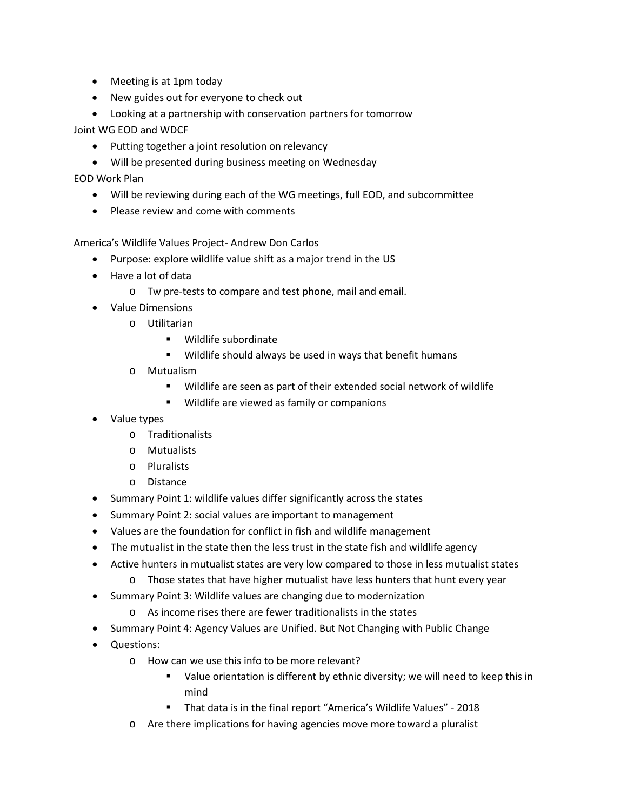- Meeting is at 1pm today
- New guides out for everyone to check out
- Looking at a partnership with conservation partners for tomorrow

Joint WG EOD and WDCF

- Putting together a joint resolution on relevancy
- Will be presented during business meeting on Wednesday

EOD Work Plan

- Will be reviewing during each of the WG meetings, full EOD, and subcommittee
- Please review and come with comments

America's Wildlife Values Project- Andrew Don Carlos

- Purpose: explore wildlife value shift as a major trend in the US
- Have a lot of data
	- o Tw pre-tests to compare and test phone, mail and email.
- Value Dimensions
	- o Utilitarian
		- Wildlife subordinate
		- Wildlife should always be used in ways that benefit humans
	- o Mutualism
		- Wildlife are seen as part of their extended social network of wildlife
		- **Wildlife are viewed as family or companions**
- Value types
	- o Traditionalists
	- o Mutualists
	- o Pluralists
	- o Distance
- Summary Point 1: wildlife values differ significantly across the states
- Summary Point 2: social values are important to management
- Values are the foundation for conflict in fish and wildlife management
- The mutualist in the state then the less trust in the state fish and wildlife agency
- Active hunters in mutualist states are very low compared to those in less mutualist states
	- o Those states that have higher mutualist have less hunters that hunt every year
- Summary Point 3: Wildlife values are changing due to modernization
	- o As income rises there are fewer traditionalists in the states
- Summary Point 4: Agency Values are Unified. But Not Changing with Public Change
- Questions:
	- o How can we use this info to be more relevant?
		- Value orientation is different by ethnic diversity; we will need to keep this in mind
		- That data is in the final report "America's Wildlife Values" 2018
	- o Are there implications for having agencies move more toward a pluralist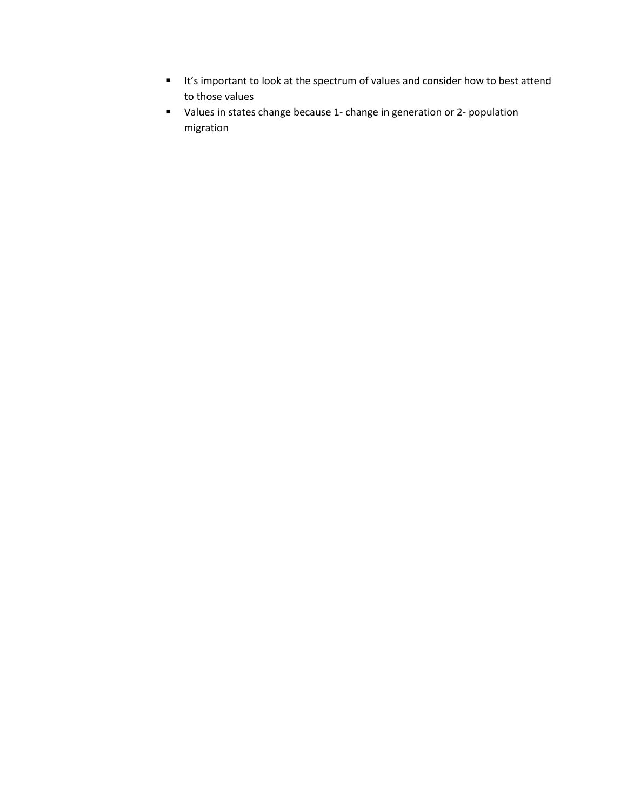- It's important to look at the spectrum of values and consider how to best attend to those values
- Values in states change because 1- change in generation or 2- population migration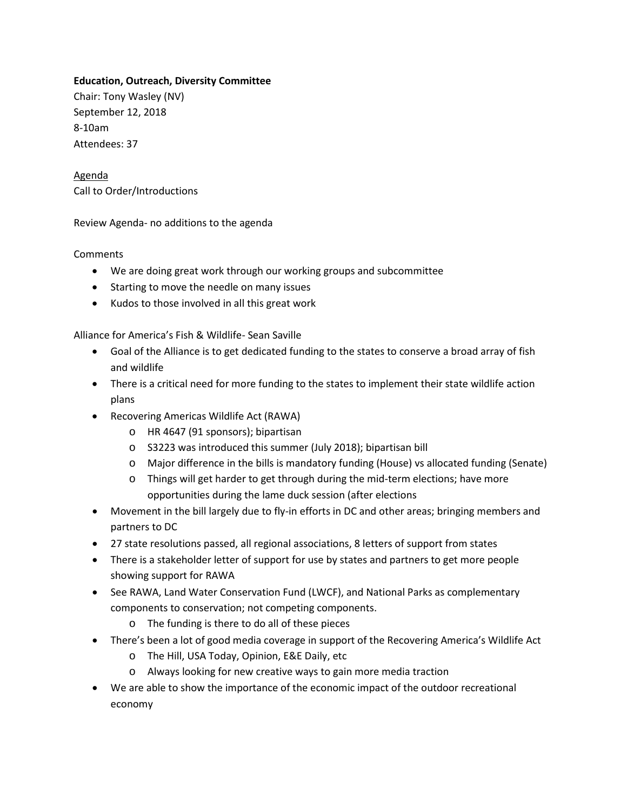## **Education, Outreach, Diversity Committee**

Chair: Tony Wasley (NV) September 12, 2018 8-10am Attendees: 37

Agenda Call to Order/Introductions

Review Agenda- no additions to the agenda

#### **Comments**

- We are doing great work through our working groups and subcommittee
- Starting to move the needle on many issues
- Kudos to those involved in all this great work

Alliance for America's Fish & Wildlife- Sean Saville

- Goal of the Alliance is to get dedicated funding to the states to conserve a broad array of fish and wildlife
- There is a critical need for more funding to the states to implement their state wildlife action plans
- Recovering Americas Wildlife Act (RAWA)
	- o HR 4647 (91 sponsors); bipartisan
	- o S3223 was introduced this summer (July 2018); bipartisan bill
	- o Major difference in the bills is mandatory funding (House) vs allocated funding (Senate)
	- o Things will get harder to get through during the mid-term elections; have more opportunities during the lame duck session (after elections
- Movement in the bill largely due to fly-in efforts in DC and other areas; bringing members and partners to DC
- 27 state resolutions passed, all regional associations, 8 letters of support from states
- There is a stakeholder letter of support for use by states and partners to get more people showing support for RAWA
- See RAWA, Land Water Conservation Fund (LWCF), and National Parks as complementary components to conservation; not competing components.
	- o The funding is there to do all of these pieces
- There's been a lot of good media coverage in support of the Recovering America's Wildlife Act
	- o The Hill, USA Today, Opinion, E&E Daily, etc
	- o Always looking for new creative ways to gain more media traction
- We are able to show the importance of the economic impact of the outdoor recreational economy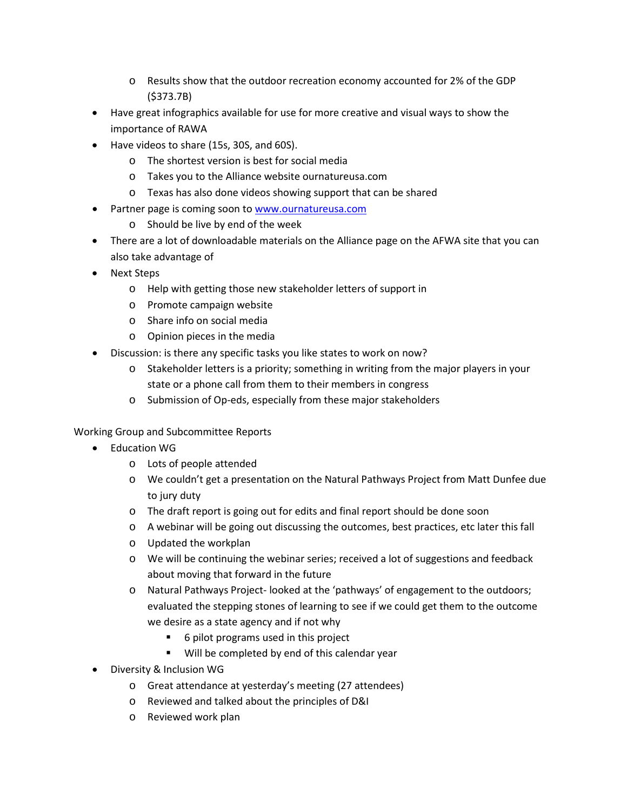- o Results show that the outdoor recreation economy accounted for 2% of the GDP (\$373.7B)
- Have great infographics available for use for more creative and visual ways to show the importance of RAWA
- Have videos to share (15s, 30S, and 60S).
	- o The shortest version is best for social media
	- o Takes you to the Alliance website ournatureusa.com
	- o Texas has also done videos showing support that can be shared
- Partner page is coming soon to [www.ournatureusa.com](http://www.ournatureusa.com/)
	- o Should be live by end of the week
- There are a lot of downloadable materials on the Alliance page on the AFWA site that you can also take advantage of
- Next Steps
	- o Help with getting those new stakeholder letters of support in
	- o Promote campaign website
	- o Share info on social media
	- o Opinion pieces in the media
- Discussion: is there any specific tasks you like states to work on now?
	- o Stakeholder letters is a priority; something in writing from the major players in your state or a phone call from them to their members in congress
	- o Submission of Op-eds, especially from these major stakeholders

Working Group and Subcommittee Reports

- Education WG
	- o Lots of people attended
	- o We couldn't get a presentation on the Natural Pathways Project from Matt Dunfee due to jury duty
	- o The draft report is going out for edits and final report should be done soon
	- o A webinar will be going out discussing the outcomes, best practices, etc later this fall
	- o Updated the workplan
	- o We will be continuing the webinar series; received a lot of suggestions and feedback about moving that forward in the future
	- o Natural Pathways Project- looked at the 'pathways' of engagement to the outdoors; evaluated the stepping stones of learning to see if we could get them to the outcome we desire as a state agency and if not why
		- 6 pilot programs used in this project
		- Will be completed by end of this calendar year
- Diversity & Inclusion WG
	- o Great attendance at yesterday's meeting (27 attendees)
	- o Reviewed and talked about the principles of D&I
	- o Reviewed work plan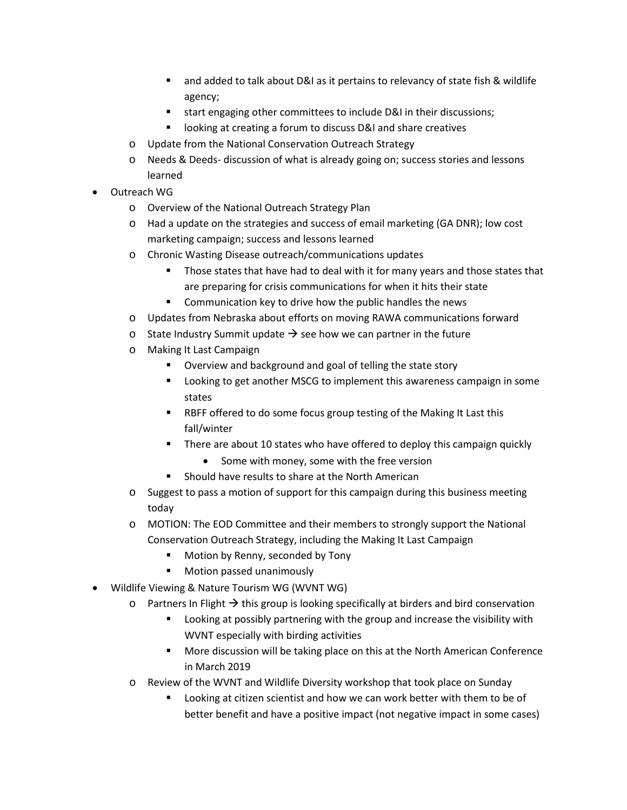- and added to talk about D&I as it pertains to relevancy of state fish & wildlife agency;
- start engaging other committees to include D&I in their discussions;
- looking at creating a forum to discuss D&I and share creatives
- o Update from the National Conservation Outreach Strategy
- o Needs & Deeds- discussion of what is already going on; success stories and lessons learned
- Outreach WG
	- o Overview of the National Outreach Strategy Plan
	- o Had a update on the strategies and success of email marketing (GA DNR); low cost marketing campaign; success and lessons learned
	- o Chronic Wasting Disease outreach/communications updates
		- **Those states that have had to deal with it for many years and those states that** are preparing for crisis communications for when it hits their state
		- **EXECOMMUNICATION KEY TO drive how the public handles the news**
	- o Updates from Nebraska about efforts on moving RAWA communications forward
	- o State Industry Summit update  $\rightarrow$  see how we can partner in the future
	- o Making It Last Campaign
		- Overview and background and goal of telling the state story
		- Looking to get another MSCG to implement this awareness campaign in some states
		- RBFF offered to do some focus group testing of the Making It Last this fall/winter
		- **There are about 10 states who have offered to deploy this campaign quickly** 
			- Some with money, some with the free version
		- Should have results to share at the North American
	- o Suggest to pass a motion of support for this campaign during this business meeting today
	- o MOTION: The EOD Committee and their members to strongly support the National Conservation Outreach Strategy, including the Making It Last Campaign
		- Motion by Renny, seconded by Tony
		- **Motion passed unanimously**
- Wildlife Viewing & Nature Tourism WG (WVNT WG)
	- $\circ$  Partners In Flight  $\rightarrow$  this group is looking specifically at birders and bird conservation
		- Looking at possibly partnering with the group and increase the visibility with WVNT especially with birding activities
		- More discussion will be taking place on this at the North American Conference in March 2019
	- o Review of the WVNT and Wildlife Diversity workshop that took place on Sunday
		- Looking at citizen scientist and how we can work better with them to be of better benefit and have a positive impact (not negative impact in some cases)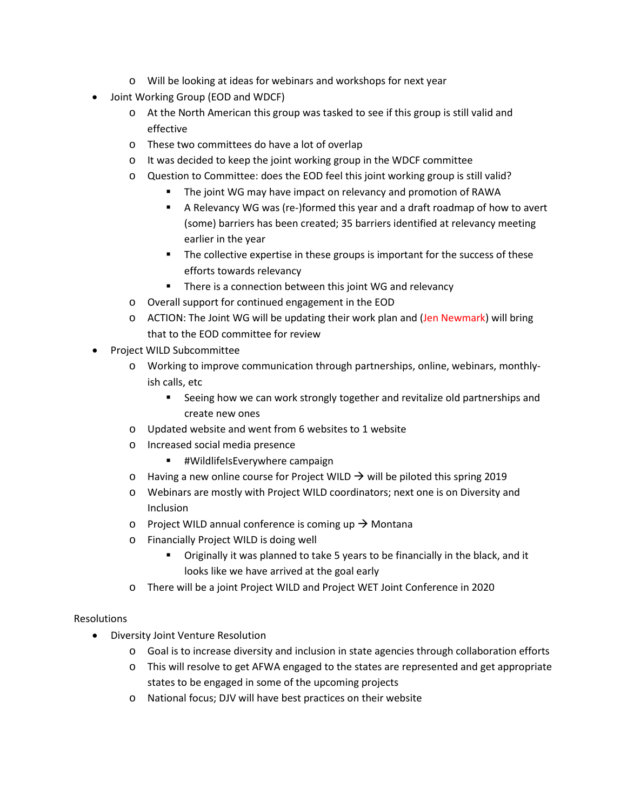- o Will be looking at ideas for webinars and workshops for next year
- Joint Working Group (EOD and WDCF)
	- o At the North American this group was tasked to see if this group is still valid and effective
	- o These two committees do have a lot of overlap
	- o It was decided to keep the joint working group in the WDCF committee
	- o Question to Committee: does the EOD feel this joint working group is still valid?
		- The joint WG may have impact on relevancy and promotion of RAWA
		- A Relevancy WG was (re-)formed this year and a draft roadmap of how to avert (some) barriers has been created; 35 barriers identified at relevancy meeting earlier in the year
		- The collective expertise in these groups is important for the success of these efforts towards relevancy
		- **There is a connection between this joint WG and relevancy**
	- o Overall support for continued engagement in the EOD
	- o ACTION: The Joint WG will be updating their work plan and (Jen Newmark) will bring that to the EOD committee for review
- Project WILD Subcommittee
	- o Working to improve communication through partnerships, online, webinars, monthlyish calls, etc
		- **Seeing how we can work strongly together and revitalize old partnerships and** create new ones
	- o Updated website and went from 6 websites to 1 website
	- o Increased social media presence
		- **■** #WildlifeIsEverywhere campaign
	- $\circ$  Having a new online course for Project WILD  $\rightarrow$  will be piloted this spring 2019
	- o Webinars are mostly with Project WILD coordinators; next one is on Diversity and Inclusion
	- o Project WILD annual conference is coming up  $\rightarrow$  Montana
	- o Financially Project WILD is doing well
		- Originally it was planned to take 5 years to be financially in the black, and it looks like we have arrived at the goal early
	- o There will be a joint Project WILD and Project WET Joint Conference in 2020

# Resolutions

- Diversity Joint Venture Resolution
	- o Goal is to increase diversity and inclusion in state agencies through collaboration efforts
	- o This will resolve to get AFWA engaged to the states are represented and get appropriate states to be engaged in some of the upcoming projects
	- o National focus; DJV will have best practices on their website